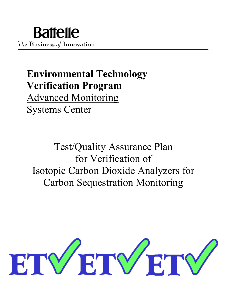# **Environmental Technology Verification Program** Advanced Monitoring Systems Center

Test/Quality Assurance Plan for Verification of Isotopic Carbon Dioxide Analyzers for Carbon Sequestration Monitoring

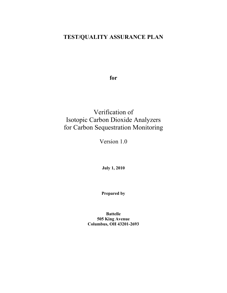# **TEST/QUALITY ASSURANCE PLAN**

**for**

# Verification of Isotopic Carbon Dioxide Analyzers for Carbon Sequestration Monitoring

Version 1.0

**July 1, 2010**

**Prepared by**

**Battelle 505 King Avenue Columbus, OH 43201-2693**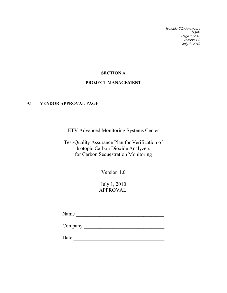*Isotopic CO2 Analyzers TQAP Page 1 of 48 Version 1.0 July 1, 2010*

# **SECTION A**

# **PROJECT MANAGEMENT**

### <span id="page-2-1"></span><span id="page-2-0"></span>**A1 VENDOR APPROVAL PAGE**

ETV Advanced Monitoring Systems Center

Test/Quality Assurance Plan for Verification of Isotopic Carbon Dioxide Analyzers for Carbon Sequestration Monitoring

Version 1.0

July 1, 2010 APPROVAL:

Name \_\_\_\_\_\_\_\_\_\_\_\_\_\_\_\_\_\_\_\_\_\_\_\_\_\_\_\_\_\_\_\_\_\_

Company \_\_\_\_\_\_\_\_\_\_\_\_\_\_\_\_\_\_\_\_\_\_\_\_\_\_\_\_\_\_\_

Date \_\_\_\_\_\_\_\_\_\_\_\_\_\_\_\_\_\_\_\_\_\_\_\_\_\_\_\_\_\_\_\_\_\_\_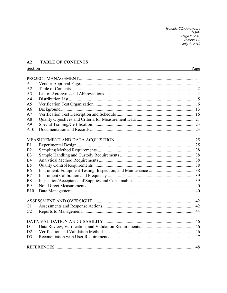Isotopic CO<sub>2</sub> Analyzers<br>TQAP<br>Page 2 of 48<br>Version 1.0<br>July 1, 2010

# <span id="page-3-0"></span>**A2 TABLE OF CONTENTS** Section

| A <sub>1</sub> |  |
|----------------|--|
| A2             |  |
| A <sub>3</sub> |  |
| A <sup>4</sup> |  |
| A <sub>5</sub> |  |
| A6             |  |
| A7             |  |
| A8             |  |
| A <sup>9</sup> |  |
| A10            |  |
|                |  |
| B1             |  |
| B2             |  |
| B <sub>3</sub> |  |
| <b>B4</b>      |  |
| B <sub>5</sub> |  |
| <b>B6</b>      |  |
| B7             |  |
| <b>B8</b>      |  |
| <b>B</b> 9     |  |
| <b>B10</b>     |  |
|                |  |
| C <sub>1</sub> |  |
| C <sub>2</sub> |  |
|                |  |
| D <sub>1</sub> |  |
| D2             |  |
| D <sub>3</sub> |  |
|                |  |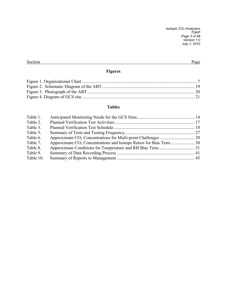*Isotopic CO2 Analyzers TQAP Page 3 of 48 Version 1.0 July 1, 2010*

### Section Page

# **Figures**

# **Tables**

| Table 1.  |  |
|-----------|--|
| Table 2.  |  |
| Table 3.  |  |
| Table 5.  |  |
| Table 6.  |  |
| Table 7.  |  |
| Table 8.  |  |
| Table 9.  |  |
| Table 10. |  |
|           |  |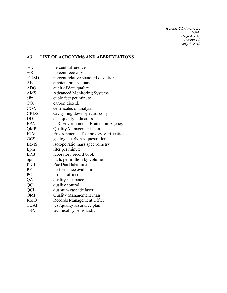*Isotopic CO2 Analyzers TQAP Page 4 of 48 Version 1.0 July 1, 2010*

# <span id="page-5-0"></span>**A3 LIST OF ACRONYMS AND ABBREVIATIONS**

| $\%D$           | percent difference                           |
|-----------------|----------------------------------------------|
| $\%R$           | percent recovery                             |
| $%$ RSD         | percent relative standard deviation          |
| <b>ABT</b>      | ambient breeze tunnel                        |
| <b>ADQ</b>      | audit of data quality                        |
| <b>AMS</b>      | <b>Advanced Monitoring Systems</b>           |
| cfm             | cubic feet per minute                        |
| CO <sub>2</sub> | carbon dioxide                               |
| <b>COA</b>      | certificates of analysis                     |
| <b>CRDS</b>     | cavity ring down spectroscopy                |
| <b>DQIs</b>     | data quality indicators                      |
| <b>EPA</b>      | U.S. Environmental Protection Agency         |
| QMP             | <b>Quality Management Plan</b>               |
| <b>ETV</b>      | <b>Environmental Technology Verification</b> |
| GCS             | geologic carbon sequestration                |
| <b>IRMS</b>     | isotope ratio mass spectrometry              |
| Lpm             | liter per minute                             |
| <b>LRB</b>      | laboratory record book                       |
| ppm             | parts per million by volume                  |
| <b>PDB</b>      | Pee Dee Belemnite                            |
| PE              | performance evaluation                       |
| PO              | project officer                              |
| QA              | quality assurance                            |
| QC              | quality control                              |
| <b>QCL</b>      | quantum cascade laser                        |
| QMP             | <b>Quality Management Plan</b>               |
| <b>RMO</b>      | Records Management Office                    |
| <b>TQAP</b>     | test/quality assurance plan                  |
| <b>TSA</b>      | technical systems audit                      |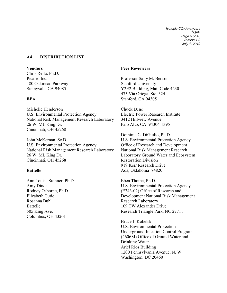*Isotopic CO2 Analyzers TQAP Page 5 of 48 Version 1.0 July 1, 2010*

#### <span id="page-6-0"></span>**A4 DISTRIBUTION LIST**

#### **Vendors**

Chris Rella, Ph.D. Picarro Inc. 480 Oakmead Parkway Sunnyvale, CA 94085

#### **EPA**

Michelle Henderson U.S. Environmental Protection Agency National Risk Management Research Laboratory 26 W. ML King Dr. Cincinnati, OH 45268

John McKernan, Sc.D. U.S. Environmental Protection Agency National Risk Management Research Laboratory 26 W. ML King Dr. Cincinnati, OH 45268

#### **Battelle**

Ann Louise Sumner, Ph.D. Amy Dindal Rodney Osborne, Ph.D. Elizabeth Cutie Rosanna Buhl Battelle 505 King Ave. Columbus, OH 43201

#### **Peer Reviewers**

Professor Sally M. Benson Stanford University Y2E2 Building, Mail Code 4230 473 Via Ortega, Ste. 324 Stanford, CA 94305

Chuck Dene Electric Power Research Institute 3412 Hillview Avenue Palo Alto, CA 94304-1395

Dominic C. DiGiulio, Ph.D. U.S. Environmental Protection Agency Office of Research and Development National Risk Management Research Laboratory Ground Water and Ecosystem Restoration Division 919 Kerr Research Drive Ada, Oklahoma 74820

Eben Thoma, Ph.D. U.S. Environmental Protection Agency (E343-02) Office of Research and Development National Risk Management Research Laboratory 109 TW Alexander Drive Research Triangle Park, NC 27711

Bruce J. Kobelski U.S. Environmental Protection Underground Injection Control Program - (4606M) Office of Ground Water and Drinking Water Ariel Rios Building 1200 Pennsylvania Avenue, N. W. Washington, DC 20460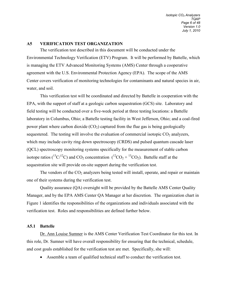#### <span id="page-7-0"></span>**A5 VERIFICATION TEST ORGANIZATION**

The verification test described in this document will be conducted under the Environmental Technology Verification (ETV) Program. It will be performed by Battelle, which is managing the ETV Advanced Monitoring Systems (AMS) Center through a cooperative agreement with the U.S. Environmental Protection Agency (EPA). The scope of the AMS Center covers verification of monitoring technologies for contaminants and natural species in air, water, and soil.

This verification test will be coordinated and directed by Battelle in cooperation with the EPA, with the support of staff at a geologic carbon sequestration (GCS) site. Laboratory and field testing will be conducted over a five-week period at three testing locations: a Battelle laboratory in Columbus, Ohio; a Battelle testing facility in West Jefferson, Ohio; and a coal-fired power plant where carbon dioxide  $(CO<sub>2</sub>)$  captured from the flue gas is being geologically sequestered. The testing will involve the evaluation of commercial isotopic  $CO<sub>2</sub>$  analyzers, which may include cavity ring down spectroscopy (CRDS) and pulsed quantum cascade laser (QCL) spectroscopy monitoring systems specifically for the measurement of stable carbon isotope ratios ( ${}^{13}C/{}^{12}C$ ) and CO<sub>2</sub> concentration ( ${}^{12}CO_2 + {}^{13}CO_2$ ). Battelle staff at the sequestration site will provide on-site support during the verification test.

The vendors of the  $CO<sub>2</sub>$  analyzers being tested will install, operate, and repair or maintain one of their systems during the verification test.

Quality assurance (QA) oversight will be provided by the Battelle AMS Center Quality Manager, and by the EPA AMS Center QA Manager at her discretion. The organization chart in Figure 1 identifies the responsibilities of the organizations and individuals associated with the verification test. Roles and responsibilities are defined further below.

#### **A5.1 Battelle**

Dr. Ann Louise Sumner is the AMS Center Verification Test Coordinator for this test. In this role, Dr. Sumner will have overall responsibility for ensuring that the technical, schedule, and cost goals established for the verification test are met. Specifically, she will:

• Assemble a team of qualified technical staff to conduct the verification test.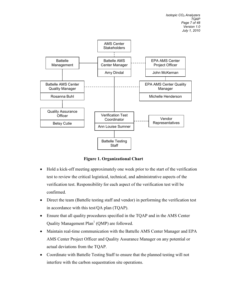

**Figure 1. Organizational Chart**

- Hold a kick-off meeting approximately one week prior to the start of the verification test to review the critical logistical, technical, and administrative aspects of the verification test. Responsibility for each aspect of the verification test will be confirmed.
- Direct the team (Battelle testing staff and vendor) in performing the verification test in accordance with this test/QA plan (TQAP).
- Ensure that all quality procedures specified in the TQAP and in the AMS Center Quality Management  $Plan<sup>1</sup>$  (QMP) are followed.
- Maintain real-time communication with the Battelle AMS Center Manager and EPA AMS Center Project Officer and Quality Assurance Manager on any potential or actual deviations from the TQAP.
- Coordinate with Battelle Testing Staff to ensure that the planned testing will not interfere with the carbon sequestration site operations.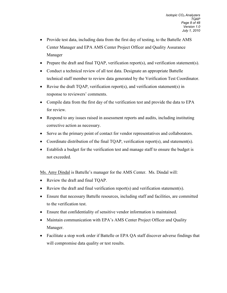- Provide test data, including data from the first day of testing, to the Battelle AMS Center Manager and EPA AMS Center Project Officer and Quality Assurance Manager
- Prepare the draft and final TQAP, verification report(s), and verification statement(s).
- Conduct a technical review of all test data. Designate an appropriate Battelle technical staff member to review data generated by the Verification Test Coordinator.
- Revise the draft TQAP, verification report(s), and verification statement(s) in response to reviewers' comments.
- Compile data from the first day of the verification test and provide the data to EPA for review.
- Respond to any issues raised in assessment reports and audits, including instituting corrective action as necessary.
- Serve as the primary point of contact for vendor representatives and collaborators.
- Coordinate distribution of the final TQAP, verification report(s), and statement(s).
- Establish a budget for the verification test and manage staff to ensure the budget is not exceeded.

Ms. Amy Dindal is Battelle's manager for the AMS Center. Ms. Dindal will:

- Review the draft and final TQAP.
- Review the draft and final verification report(s) and verification statement(s).
- Ensure that necessary Battelle resources, including staff and facilities, are committed to the verification test.
- Ensure that confidentiality of sensitive vendor information is maintained.
- Maintain communication with EPA's AMS Center Project Officer and Quality Manager.
- Facilitate a stop work order if Battelle or EPA QA staff discover adverse findings that will compromise data quality or test results.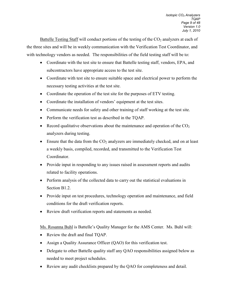Battelle Testing Staff will conduct portions of the testing of the CO<sub>2</sub> analyzers at each of the three sites and will be in weekly communication with the Verification Test Coordinator, and with technology vendors as needed. The responsibilities of the field testing staff will be to:

- Coordinate with the test site to ensure that Battelle testing staff, vendors, EPA, and subcontractors have appropriate access to the test site.
- Coordinate with test site to ensure suitable space and electrical power to perform the necessary testing activities at the test site.
- Coordinate the operation of the test site for the purposes of ETV testing.
- Coordinate the installation of vendors' equipment at the test sites.
- Communicate needs for safety and other training of staff working at the test site.
- Perform the verification test as described in the TQAP.
- Record qualitative observations about the maintenance and operation of the  $CO<sub>2</sub>$ analyzers during testing.
- Ensure that the data from the  $CO<sub>2</sub>$  analyzers are immediately checked, and on at least a weekly basis, compiled, recorded, and transmitted to the Verification Test Coordinator.
- Provide input in responding to any issues raised in assessment reports and audits related to facility operations.
- Perform analysis of the collected data to carry out the statistical evaluations in Section B1.2.
- Provide input on test procedures, technology operation and maintenance, and field conditions for the draft verification reports.
- Review draft verification reports and statements as needed.

Ms. Rosanna Buhl is Battelle's Quality Manager for the AMS Center. Ms. Buhl will:

- Review the draft and final TQAP.
- Assign a Quality Assurance Officer (QAO) for this verification test.
- Delegate to other Battelle quality staff any OAO responsibilities assigned below as needed to meet project schedules.
- Review any audit checklists prepared by the QAO for completeness and detail.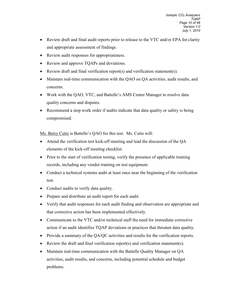- Review draft and final audit reports prior to release to the VTC and/or EPA for clarity and appropriate assessment of findings.
- Review audit responses for appropriateness.
- Review and approve TQAPs and deviations.
- Review draft and final verification report(s) and verification statement(s).
- Maintain real-time communication with the QAO on QA activities, audit results, and concerns.
- Work with the QAO, VTC, and Battelle's AMS Center Manager to resolve data quality concerns and disputes.
- Recommend a stop work order if audits indicate that data quality or safety is being compromised.

Ms. Betsy Cutie is Battelle's QAO for this test. Ms. Cutie will:

- Attend the verification test kick-off meeting and lead the discussion of the QA elements of the kick-off meeting checklist.
- Prior to the start of verification testing, verify the presence of applicable training records, including any vendor training on test equipment.
- Conduct a technical systems audit at least once near the beginning of the verification test.
- Conduct audits to verify data quality.
- Prepare and distribute an audit report for each audit.
- Verify that audit responses for each audit finding and observation are appropriate and that corrective action has been implemented effectively.
- Communicate to the VTC and/or technical staff the need for immediate corrective action if an audit identifies TQAP deviations or practices that threaten data quality.
- Provide a summary of the QA/QC activities and results for the verification reports.
- Review the draft and final verification report(s) and verification statement(s).
- Maintain real-time communication with the Battelle Quality Manager on QA activities, audit results, and concerns, including potential schedule and budget problems.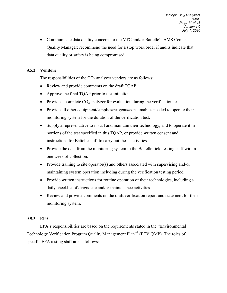• Communicate data quality concerns to the VTC and/or Battelle's AMS Center Quality Manager; recommend the need for a stop work order if audits indicate that data quality or safety is being compromised.

# **A5.2 Vendors**

The responsibilities of the  $CO<sub>2</sub>$  analyzer vendors are as follows:

- Review and provide comments on the draft TQAP.
- Approve the final TQAP prior to test initiation.
- Provide a complete  $CO_2$  analyzer for evaluation during the verification test.
- Provide all other equipment/supplies/reagents/consumables needed to operate their monitoring system for the duration of the verification test.
- Supply a representative to install and maintain their technology, and to operate it in portions of the test specified in this TQAP, or provide written consent and instructions for Battelle staff to carry out these activities.
- Provide the data from the monitoring system to the Battelle field testing staff within one week of collection.
- Provide training to site operator(s) and others associated with supervising and/or maintaining system operation including during the verification testing period.
- Provide written instructions for routine operation of their technologies, including a daily checklist of diagnostic and/or maintenance activities.
- Review and provide comments on the draft verification report and statement for their monitoring system.

# **A5.3 EPA**

EPA's responsibilities are based on the requirements stated in the "Environmental Technology Verification Program Quality Management Plan"2 (ETV QMP). The roles of specific EPA testing staff are as follows: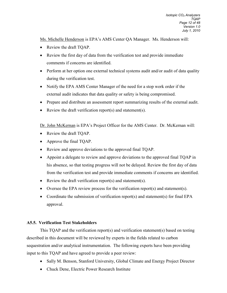Ms. Michelle Henderson is EPA's AMS Center QA Manager. Ms. Henderson will:

- Review the draft TQAP.
- Review the first day of data from the verification test and provide immediate comments if concerns are identified.
- Perform at her option one external technical systems audit and/or audit of data quality during the verification test.
- Notify the EPA AMS Center Manager of the need for a stop work order if the external audit indicates that data quality or safety is being compromised.
- Prepare and distribute an assessment report summarizing results of the external audit.
- Review the draft verification report(s) and statement(s).

Dr. John McKernan is EPA's Project Officer for the AMS Center. Dr. McKernan will:

- Review the draft TQAP.
- Approve the final TQAP.
- Review and approve deviations to the approved final TQAP.
- Appoint a delegate to review and approve deviations to the approved final TQAP in his absence, so that testing progress will not be delayed. Review the first day of data from the verification test and provide immediate comments if concerns are identified.
- Review the draft verification report(s) and statement(s).
- Oversee the EPA review process for the verification report(s) and statement(s).
- Coordinate the submission of verification report(s) and statement(s) for final EPA approval.

# **A5.5. Verification Test Stakeholders**

This TQAP and the verification report(s) and verification statement(s) based on testing described in this document will be reviewed by experts in the fields related to carbon sequestration and/or analytical instrumentation. The following experts have been providing input to this TQAP and have agreed to provide a peer review:

- Sally M. Benson, Stanford University, Global Climate and Energy Project Director
- Chuck Dene, Electric Power Research Institute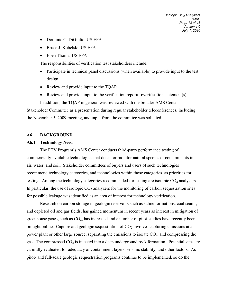- Dominic C. DiGiulio, US EPA
- Bruce J. Kobelski, US EPA
- Eben Thoma, US EPA

The responsibilities of verification test stakeholders include:

- Participate in technical panel discussions (when available) to provide input to the test design.
- Review and provide input to the TQAP
- Review and provide input to the verification report(s)/verification statement(s).

In addition, the TQAP in general was reviewed with the broader AMS Center Stakeholder Committee as a presentation during regular stakeholder teleconferences, including the November 5, 2009 meeting, and input from the committee was solicited.

#### <span id="page-14-0"></span>**A6 BACKGROUND**

#### **A6.1 Technology Need**

The ETV Program's AMS Center conducts third-party performance testing of commercially-available technologies that detect or monitor natural species or contaminants in air, water, and soil. Stakeholder committees of buyers and users of such technologies recommend technology categories, and technologies within those categories, as priorities for testing. Among the technology categories recommended for testing are isotopic  $CO<sub>2</sub>$  analyzers. In particular, the use of isotopic  $CO<sub>2</sub>$  analyzers for the monitoring of carbon sequestration sites for possible leakage was identified as an area of interest for technology verification.

Research on carbon storage in geologic reservoirs such as saline formations, coal seams, and depleted oil and gas fields, has gained momentum in recent years as interest in mitigation of greenhouse gases, such as  $CO<sub>2</sub>$ , has increased and a number of pilot-studies have recently been brought online. Capture and geologic sequestration of  $CO<sub>2</sub>$  involves capturing emissions at a power plant or other large source, separating the emissions to isolate  $CO<sub>2</sub>$ , and compressing the gas. The compressed  $CO<sub>2</sub>$  is injected into a deep underground rock formation. Potential sites are carefully evaluated for adequacy of containment layers, seismic stability, and other factors. As pilot- and full-scale geologic sequestration programs continue to be implemented, so do the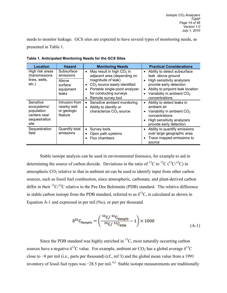needs to monitor leakage. GCS sites are expected to have several types of monitoring needs, as presented in Table 1.

| Location                                                                        | <b>Hazard</b>                                           | <b>Monitoring Needs</b>                                                                                                                                                       | <b>Practical Considerations</b>                                                                                                                                                                       |  |
|---------------------------------------------------------------------------------|---------------------------------------------------------|-------------------------------------------------------------------------------------------------------------------------------------------------------------------------------|-------------------------------------------------------------------------------------------------------------------------------------------------------------------------------------------------------|--|
| High risk areas<br>(transmissions                                               | Subsurface<br>emissions                                 | May result in high $CO2$ in<br>$\bullet$<br>adjacent area (depending on                                                                                                       | Ability to detect subsurface<br>$\bullet$<br>leak above ground                                                                                                                                        |  |
| lines, wells,<br>etc.)                                                          | Above<br>surface<br>equipment<br>leaks                  | magnitude of leak)<br>$CO2$ source easily identified<br>$\bullet$<br>Portable single-point analyzer<br>$\bullet$<br>for conducting surveys<br>Remote survey tool<br>$\bullet$ | High sensitivity analyzers<br>$\bullet$<br>provide early detection<br>Ability to pinpoint leak location<br>$\bullet$<br>Variability in ambient CO <sub>2</sub><br>$\bullet$<br>concentrations         |  |
| Sensitive<br>ecosystems/<br>population<br>centers near<br>sequestration<br>site | Intrusion from<br>nearby well<br>or geologic<br>feature | Sensitive ambient monitoring<br>$\bullet$<br>Ability to identify or<br>$\bullet$<br>characterize CO <sub>2</sub> source                                                       | Ability to detect leaks in<br>$\bullet$<br>ambient air<br>Variability in ambient CO <sub>2</sub><br>$\bullet$<br>concentrations<br>High sensitivity analyzers<br>$\bullet$<br>provide early detection |  |
| Sequestration<br>field                                                          | Quantify total<br>emissions                             | Survey tools<br>$\bullet$<br>Open path systems<br>٠<br>Flux chambers<br>$\bullet$                                                                                             | Ability to quantify emissions<br>$\bullet$<br>over large geographic area<br>Trace mapped emissions to<br>$\bullet$<br>source                                                                          |  |

<span id="page-15-0"></span>**Table 1. Anticipated Monitoring Needs for the GCS Sites** 

Stable isotope analysis can be used in environmental forensics, for example to aid in determining the source of carbon dioxide. Deviations in the ratio of <sup>13</sup>C to <sup>12</sup>C (<sup>13</sup>C/<sup>12</sup>C) in atmospheric  $CO<sub>2</sub>$  relative to that in ambient air can be used to identify input from other carbon sources, such as fossil fuel combustion, since atmospheric, carbonate, and plant-derived carbon differ in their  ${}^{13}C/{}^{12}C$  relative to the Pee Dee Belemnite (PDB) standard. The relative difference in stable carbon isotope from the PDB standard, referred to as  $\delta^{13}C$ , is calculated as shown in Equation A-1 and expressed in per mil  $(\%$ o), or part per thousand.

$$
\delta^{13} C_{\rm Sample} = \left(\frac{^{13}C/~^{12}C_{\rm Sample}}{^{13}C/~^{12}C_{\rm PDB}} - 1\right) \times 1000\tag{A-1}
$$

Since the PDB standard was highly enriched in  $^{13}C$ , most naturally occurring carbon sources have a negative  $\delta^{13}C$  value. For example, ambient air CO<sub>2</sub> has a global average  $\delta^{13}C$ close to −8 per mil (i.e., parts per thousand) (cf., ref 3) and the global mean value from a 1991 inventory of fossil fuel types was −28.5 per mil.<sup>4,5</sup> Stable isotope measurements are traditionally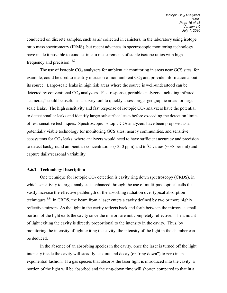conducted on discrete samples, such as air collected in canisters, in the laboratory using isotope ratio mass spectrometry (IRMS), but recent advances in spectroscopic monitoring technology have made it possible to conduct in situ measurements of stable isotope ratios with high frequency and precision. 6,7

The use of isotopic  $CO_2$  analyzers for ambient air monitoring in areas near GCS sites, for example, could be used to identify intrusion of non-ambient  $CO<sub>2</sub>$  and provide information about its source. Large-scale leaks in high risk areas where the source is well-understood can be detected by conventional  $CO<sub>2</sub>$  analyzers. Fast-response, portable analyzers, including infrared "cameras," could be useful as a survey tool to quickly assess larger geographic areas for largescale leaks. The high sensitivity and fast response of isotopic  $CO<sub>2</sub>$  analyzers have the potential to detect smaller leaks and identify larger subsurface leaks before exceeding the detection limits of less sensitive techniques. Spectroscopic isotopic  $CO<sub>2</sub>$  analyzers have been proposed as a potentially viable technology for monitoring GCS sites, nearby communities, and sensitive ecosystems for  $CO<sub>2</sub>$  leaks, where analyzers would need to have sufficient accuracy and precision to detect background ambient air concentrations (~350 ppm) and  $\delta^{13}$ C values (~ −8 per mil) and capture daily/seasonal variability.

#### **A.6.2 Technology Description**

One technique for isotopic  $CO<sub>2</sub>$  detection is cavity ring down spectroscopy (CRDS), in which sensitivity to target analytes is enhanced through the use of multi-pass optical cells that vastly increase the effective pathlength of the absorbing radiation over typical absorption techniques.<sup>8,9</sup> In CRDS, the beam from a laser enters a cavity defined by two or more highly reflective mirrors. As the light in the cavity reflects back and forth between the mirrors, a small portion of the light exits the cavity since the mirrors are not completely reflective. The amount of light exiting the cavity is directly proportional to the intensity in the cavity. Thus, by monitoring the intensity of light exiting the cavity, the intensity of the light in the chamber can be deduced.

In the absence of an absorbing species in the cavity, once the laser is turned off the light intensity inside the cavity will steadily leak out and decay (or "ring down") to zero in an exponential fashion. If a gas species that absorbs the laser light is introduced into the cavity, a portion of the light will be absorbed and the ring-down time will shorten compared to that in a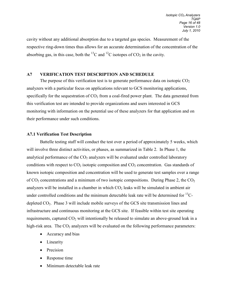cavity without any additional absorption due to a targeted gas species. Measurement of the respective ring-down times thus allows for an accurate determination of the concentration of the absorbing gas, in this case, both the <sup>13</sup>C and <sup>12</sup>C isotopes of  $CO_2$  in the cavity.

#### <span id="page-17-0"></span>**A7 VERIFICATION TEST DESCRIPTION AND SCHEDULE**

The purpose of this verification test is to generate performance data on isotopic  $CO<sub>2</sub>$ analyzers with a particular focus on applications relevant to GCS monitoring applications, specifically for the sequestration of  $CO<sub>2</sub>$  from a coal-fired power plant. The data generated from this verification test are intended to provide organizations and users interested in GCS monitoring with information on the potential use of these analyzers for that application and on their performance under such conditions.

#### **A7.1 Verification Test Description**

Battelle testing staff will conduct the test over a period of approximately 5 weeks, which will involve three distinct activities, or phases, as summarized in Table 2. In Phase 1, the analytical performance of the  $CO<sub>2</sub>$  analyzers will be evaluated under controlled laboratory conditions with respect to  $CO_2$  isotopic composition and  $CO_2$  concentration. Gas standards of known isotopic composition and concentration will be used to generate test samples over a range of  $CO_2$  concentrations and a minimum of two isotopic compositions. During Phase 2, the  $CO_2$ analyzers will be installed in a chamber in which  $CO<sub>2</sub>$  leaks will be simulated in ambient air under controlled conditions and the minimum detectable leak rate will be determined for  $^{13}$ Cdepleted CO2. Phase 3 will include mobile surveys of the GCS site transmission lines and infrastructure and continuous monitoring at the GCS site. If feasible within test site operating requirements, captured  $CO<sub>2</sub>$  will intentionally be released to simulate an above-ground leak in a high-risk area. The  $CO<sub>2</sub>$  analyzers will be evaluated on the following performance parameters:

- Accuracy and bias
- Linearity
- Precision
- Response time
- Minimum detectable leak rate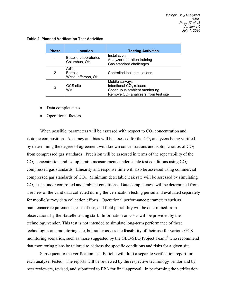| <b>Phase</b>        | Location                                     | <b>Testing Activities</b>                                                                                                       |
|---------------------|----------------------------------------------|---------------------------------------------------------------------------------------------------------------------------------|
|                     | <b>Battelle Laboratories</b><br>Columbus, OH | Installation<br>Analyzer operation training<br>Gas standard challenges                                                          |
| 2                   | ABT<br><b>Battelle</b><br>West Jefferson, OH | Controlled leak simulations                                                                                                     |
| GCS site<br>3<br>WV |                                              | Mobile surveys<br>Intentional CO <sub>2</sub> release<br>Continuous ambient monitoring<br>Remove $CO2$ analyzers from test site |

<span id="page-18-0"></span>**Table 2. Planned Verification Test Activities**

- Data completeness
- Operational factors.

When possible, parameters will be assessed with respect to  $CO<sub>2</sub>$  concentration and isotopic composition. Accuracy and bias will be assessed for the  $CO<sub>2</sub>$  analyzers being verified by determining the degree of agreement with known concentrations and isotopic ratios of  $CO<sub>2</sub>$ from compressed gas standards. Precision will be assessed in terms of the repeatability of the  $CO<sub>2</sub>$  concentration and isotopic ratio measurements under stable test conditions using  $CO<sub>2</sub>$ compressed gas standards. Linearity and response time will also be assessed using commercial compressed gas standards of  $CO<sub>2</sub>$ . Minimum detectable leak rate will be assessed by simulating CO2 leaks under controlled and ambient conditions. Data completeness will be determined from a review of the valid data collected during the verification testing period and evaluated separately for mobile/survey data collection efforts. Operational performance parameters such as maintenance requirements, ease of use, and field portability will be determined from observations by the Battelle testing staff. Information on costs will be provided by the technology vendor. This test is not intended to simulate long-term performance of these technologies at a monitoring site, but rather assess the feasibility of their use for various GCS monitoring scenarios, such as those suggested by the GEO-SEQ Project Team,<sup>8</sup> who recommend that monitoring plans be tailored to address the specific conditions and risks for a given site.

Subsequent to the verification test, Battelle will draft a separate verification report for each analyzer tested. The reports will be reviewed by the respective technology vendor and by peer reviewers, revised, and submitted to EPA for final approval. In performing the verification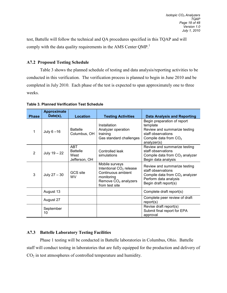test, Battelle will follow the technical and QA procedures specified in this TQAP and will comply with the data quality requirements in the AMS Center QMP.<sup>1</sup>

# **A7.2 Proposed Testing Schedule**

Table 3 shows the planned schedule of testing and data analysis/reporting activities to be conducted in this verification. The verification process is planned to begin in June 2010 and be completed in July 2010. Each phase of the test is expected to span approximately one to three weeks.

<span id="page-19-0"></span>

|  | <b>Table 3. Planned Verification Test Schedule</b> |  |
|--|----------------------------------------------------|--|
|--|----------------------------------------------------|--|

| <b>Phase</b>   | Approximate<br>Date(s), | <b>Location</b>                                        | <b>Testing Activities</b>                                                                                                                       | <b>Data Analysis and Reporting</b>                                                                                                       |
|----------------|-------------------------|--------------------------------------------------------|-------------------------------------------------------------------------------------------------------------------------------------------------|------------------------------------------------------------------------------------------------------------------------------------------|
| 1              | July $6 - 16$           | <b>Battelle</b><br>Columbus, OH                        | Installation<br>Analyzer operation<br>training<br>Gas standard challenges                                                                       | Begin preparation of report<br>template<br>Review and summarize testing<br>staff observations<br>Compile data from $CO2$<br>analyzer(s)  |
| $\overline{2}$ | July $19 - 22$          | <b>ABT</b><br><b>Battelle</b><br>West<br>Jefferson, OH | Controlled leak<br>simulations                                                                                                                  | Review and summarize testing<br>staff observations<br>Compile data from $CO2$ analyzer<br>Begin data analysis                            |
| 3              | July $27 - 30$          | GCS site<br><b>WV</b>                                  | Mobile surveys<br>Intentional CO <sub>2</sub> release<br>Continuous ambient<br>monitoring<br>Remove CO <sub>2</sub> analyzers<br>from test site | Review and summarize testing<br>staff observations<br>Compile data from $CO2$ analyzer<br>Perform data analysis<br>Begin draft report(s) |
|                | August 13               |                                                        |                                                                                                                                                 | Complete draft report(s)                                                                                                                 |
|                | August 27               |                                                        |                                                                                                                                                 | Complete peer review of draft<br>report(s)                                                                                               |
|                | September<br>10         |                                                        |                                                                                                                                                 | Revise draft report(s)<br>Submit final report for EPA<br>approval                                                                        |

# **A7.3 Battelle Laboratory Testing Facilities**

Phase 1 testing will be conducted in Battelle laboratories in Columbus, Ohio. Battelle staff will conduct testing in laboratories that are fully equipped for the production and delivery of CO2 in test atmospheres of controlled temperature and humidity.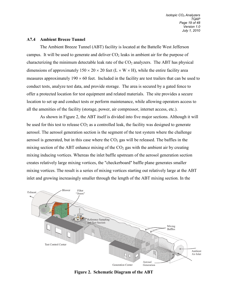#### **A7.4 Ambient Breeze Tunnel**

The Ambient Breeze Tunnel (ABT) facility is located at the Battelle West Jefferson campus. It will be used to generate and deliver  $CO<sub>2</sub>$  leaks in ambient air for the purpose of characterizing the minimum detectable leak rate of the  $CO<sub>2</sub>$  analyzers. The ABT has physical dimensions of approximately  $150 \times 20 \times 20$  feet (L  $\times$  W  $\times$  H), while the entire facility area measures approximately  $190 \times 60$  feet. Included in the facility are test trailers that can be used to conduct tests, analyze test data, and provide storage. The area is secured by a gated fence to offer a protected location for test equipment and related materials. The site provides a secure location to set up and conduct tests or perform maintenance, while allowing operators access to all the amenities of the facility (storage, power, air compressor, internet access, etc.).

As shown in Figure 2, the ABT itself is divided into five major sections. Although it will be used for this test to release  $CO<sub>2</sub>$  as a controlled leak, the facility was designed to generate aerosol. The aerosol generation section is the segment of the test system where the challenge aerosol is generated, but in this case where the  $CO<sub>2</sub>$  gas will be released. The baffles in the mixing section of the ABT enhance mixing of the  $CO<sub>2</sub>$  gas with the ambient air by creating mixing inducing vortices. Whereas the inlet baffle upstream of the aerosol generation section creates relatively large mixing vortices, the "checkerboard" baffle plane generates smaller mixing vortices. The result is a series of mixing vortices starting out relatively large at the ABT inlet and growing increasingly smaller through the length of the ABT mixing section. In the



**Figure 2. Schematic Diagram of the ABT**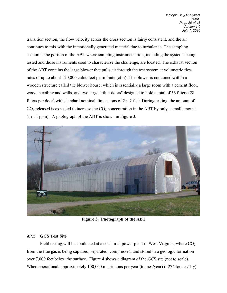transition section, the flow velocity across the cross section is fairly consistent, and the air continues to mix with the intentionally generated material due to turbulence. The sampling section is the portion of the ABT where sampling instrumentation, including the systems being tested and those instruments used to characterize the challenge, are located. The exhaust section of the ABT contains the large blower that pulls air through the test system at volumetric flow rates of up to about 120,000 cubic feet per minute (cfm). The blower is contained within a wooden structure called the blower house, which is essentially a large room with a cement floor, wooden ceiling and walls, and two large "filter doors" designed to hold a total of 56 filters (28 filters per door) with standard nominal dimensions of  $2 \times 2$  feet. During testing, the amount of  $CO<sub>2</sub>$  released is expected to increase the  $CO<sub>2</sub>$  concentration in the ABT by only a small amount (i.e., 1 ppm). A photograph of the ABT is shown in Figure 3.



**Figure 3. Photograph of the ABT**

# **A7.5 GCS Test Site**

Field testing will be conducted at a coal-fired power plant in West Virginia, where  $CO<sub>2</sub>$ from the flue gas is being captured, separated, compressed, and stored in a geologic formation over 7,000 feet below the surface. Figure 4 shows a diagram of the GCS site (not to scale). When operational, approximately 100,000 metric tons per year (tonnes/year) (~274 tonnes/day)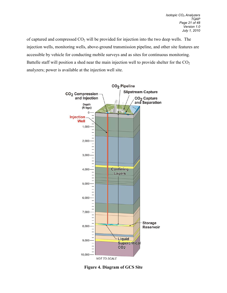of captured and compressed CO2 will be provided for injection into the two deep wells. The injection wells, monitoring wells, above-ground transmission pipeline, and other site features are accessible by vehicle for conducting mobile surveys and as sites for continuous monitoring. Battelle staff will position a shed near the main injection well to provide shelter for the  $CO<sub>2</sub>$ analyzers; power is available at the injection well site.

<span id="page-22-0"></span>

**Figure 4. Diagram of GCS Site**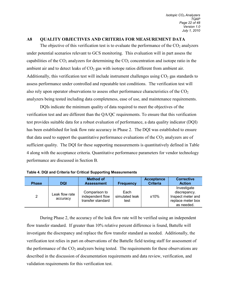#### **A8 QUALITY OBJECTIVES AND CRITERIA FOR MEASUREMENT DATA**

The objective of this verification test is to evaluate the performance of the  $CO<sub>2</sub>$  analyzers under potential scenarios relevant to GCS monitoring. This evaluation will in part assess the capabilities of the  $CO<sub>2</sub>$  analyzers for determining the  $CO<sub>2</sub>$  concentration and isotope ratio in the ambient air and to detect leaks of  $CO<sub>2</sub>$  gas with isotope ratios different from ambient air. Additionally, this verification test will include instrument challenges using  $CO<sub>2</sub>$  gas standards to assess performance under controlled and repeatable test conditions. The verification test will also rely upon operator observations to assess other performance characteristics of the  $CO<sub>2</sub>$ analyzers being tested including data completeness, ease of use, and maintenance requirements.

DQIs indicate the minimum quality of data required to meet the objectives of the verification test and are different than the QA/QC requirements. To ensure that this verification test provides suitable data for a robust evaluation of performance, a data quality indicator (DQI) has been established for leak flow rate accuracy in Phase 2. The DQI was established to ensure that data used to support the quantitative performance evaluations of the  $CO<sub>2</sub>$  analyzers are of sufficient quality. The DQI for these supporting measurements is quantitatively defined in Table 4 along with the acceptance criteria. Quantitative performance parameters for vendor technology performance are discussed in Section B.

|              |                            | <b>Method of</b>                                       |                                | <b>Acceptance</b> | <b>Corrective</b>                                                                   |
|--------------|----------------------------|--------------------------------------------------------|--------------------------------|-------------------|-------------------------------------------------------------------------------------|
| <b>Phase</b> | DQI                        | <b>Assessment</b>                                      | <b>Frequency</b>               | <b>Criteria</b>   | <b>Action</b>                                                                       |
| 2            | Leak flow rate<br>accuracy | Comparison to<br>independent flow<br>transfer standard | Each<br>simulated leak<br>test | ±10%              | Investigate<br>discrepancy.<br>Inspect meter and<br>replace meter box<br>as needed. |

**Table 4. DQI and Criteria for Critical Supporting Measurements**

During Phase 2, the accuracy of the leak flow rate will be verified using an independent flow transfer standard. If greater than 10% relative percent difference is found, Battelle will investigate the discrepancy and replace the flow transfer standard as needed. Additionally, the verification test relies in part on observations of the Battelle field testing staff for assessment of the performance of the  $CO<sub>2</sub>$  analyzers being tested. The requirements for these observations are described in the discussion of documentation requirements and data review, verification, and validation requirements for this verification test.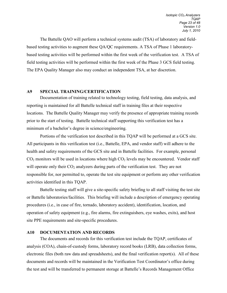The Battelle QAO will perform a technical systems audit (TSA) of laboratory and fieldbased testing activities to augment these QA/QC requirements. A TSA of Phase 1 laboratorybased testing activities will be performed within the first week of the verification test. A TSA of field testing activities will be performed within the first week of the Phase 3 GCS field testing. The EPA Quality Manager also may conduct an independent TSA, at her discretion.

### <span id="page-24-0"></span>**A9 SPECIAL TRAINING/CERTIFICATION**

Documentation of training related to technology testing, field testing, data analysis, and reporting is maintained for all Battelle technical staff in training files at their respective locations. The Battelle Quality Manager may verify the presence of appropriate training records prior to the start of testing. Battelle technical staff supporting this verification test has a minimum of a bachelor's degree in science/engineering.

Portions of the verification test described in this TQAP will be performed at a GCS site. All participants in this verification test (i.e., Battelle, EPA, and vendor staff) will adhere to the health and safety requirements of the GCS site and in Battelle facilities. For example, personal  $CO<sub>2</sub>$  monitors will be used in locations where high  $CO<sub>2</sub>$  levels may be encountered. Vendor staff will operate only their  $CO<sub>2</sub>$  analyzers during parts of the verification test. They are not responsible for, nor permitted to, operate the test site equipment or perform any other verification activities identified in this TQAP.

Battelle testing staff will give a site-specific safety briefing to all staff visiting the test site or Battelle laboratories/facilities. This briefing will include a description of emergency operating procedures (i.e., in case of fire, tornado, laboratory accident), identification, location, and operation of safety equipment (e.g., fire alarms, fire extinguishers, eye washes, exits), and host site PPE requirements and site-specific procedures.

#### <span id="page-24-1"></span>**A10 DOCUMENTATION AND RECORDS**

The documents and records for this verification test include the TQAP, certificates of analysis (COA), chain-of-custody forms, laboratory record books (LRB), data collection forms, electronic files (both raw data and spreadsheets), and the final verification report(s). All of these documents and records will be maintained in the Verification Test Coordinator's office during the test and will be transferred to permanent storage at Battelle's Records Management Office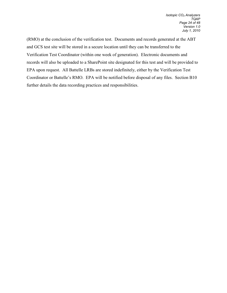(RMO) at the conclusion of the verification test. Documents and records generated at the ABT and GCS test site will be stored in a secure location until they can be transferred to the Verification Test Coordinator (within one week of generation). Electronic documents and records will also be uploaded to a SharePoint site designated for this test and will be provided to EPA upon request. All Battelle LRBs are stored indefinitely, either by the Verification Test Coordinator or Battelle's RMO. EPA will be notified before disposal of any files. Section B10 further details the data recording practices and responsibilities.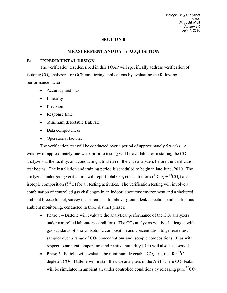#### **SECTION B**

#### **MEASUREMENT AND DATA ACQUISITION**

#### <span id="page-26-1"></span><span id="page-26-0"></span>**B1 EXPERIMENTAL DESIGN**

The verification test described in this TQAP will specifically address verification of isotopic  $CO<sub>2</sub>$  analyzers for GCS monitoring applications by evaluating the following performance factors:

- Accuracy and bias
- Linearity
- Precision
- Response time
- Minimum detectable leak rate
- Data completeness
- Operational factors.

The verification test will be conducted over a period of approximately 5 weeks. A window of approximately one week prior to testing will be available for installing the  $CO<sub>2</sub>$ analyzers at the facility, and conducting a trial run of the  $CO<sub>2</sub>$  analyzers before the verification test begins. The installation and training period is scheduled to begin in late June, 2010. The analyzers undergoing verification will report total  $CO_2$  concentrations ( ${}^{12}CO_2 + {}^{13}CO_2$ ) and isotopic composition ( $\delta^{13}$ C) for all testing activities. The verification testing will involve a combination of controlled gas challenges in an indoor laboratory environment and a sheltered ambient breeze tunnel, survey measurements for above-ground leak detection, and continuous ambient monitoring, conducted in three distinct phases:

- Phase  $1$  Battelle will evaluate the analytical performance of the  $CO<sub>2</sub>$  analyzers under controlled laboratory conditions. The  $CO<sub>2</sub>$  analyzers will be challenged with gas standards of known isotopic composition and concentration to generate test samples over a range of  $CO<sub>2</sub>$  concentrations and isotopic compositions. Bias with respect to ambient temperature and relative humidity (RH) will also be assessed.
- Phase 2 –Battelle will evaluate the minimum detectable  $CO<sub>2</sub>$  leak rate for <sup>13</sup>Cdepleted  $CO<sub>2</sub>$ . Battelle will install the  $CO<sub>2</sub>$  analyzers in the ABT where  $CO<sub>2</sub>$  leaks will be simulated in ambient air under controlled conditions by releasing pure  ${}^{12}CO_2$ .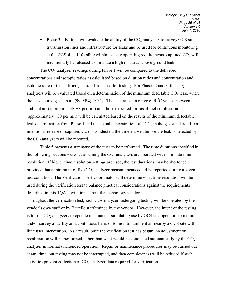• Phase  $3$  – Battelle will evaluate the ability of the  $CO<sub>2</sub>$  analyzers to survey GCS site transmission lines and infrastructure for leaks and be used for continuous monitoring at the GCS site. If feasible within test site operating requirements, captured  $CO<sub>2</sub>$  will intentionally be released to simulate a high risk area, above ground leak.

The  $CO<sub>2</sub>$  analyzer readings during Phase 1 will be compared to the delivered concentrations and isotopic ratios as calculated based on dilution ratios and concentration and isotopic ratio of the certified gas standards used for testing. For Phases 2 and 3, the  $CO<sub>2</sub>$ analyzers will be evaluated based on a determination of the minimum detectable  $CO<sub>2</sub>$  leak, where the leak source gas is pure (99.95%) <sup>12</sup>CO<sub>2</sub>. The leak rate at a range of  $\delta^{13}$ C values between ambient air (approximately −8 per mil) and those expected for fossil fuel combustion (approximately −30 per mil) will be calculated based on the results of the minimum detectable leak determination from Phase 1 and the actual concentration of  ${}^{12}CO_2$  in the gas standard. If an intentional release of captured  $CO<sub>2</sub>$  is conducted, the time elapsed before the leak is detected by the  $CO<sub>2</sub>$  analyzers will be reported.

Table 5 presents a summary of the tests to be performed. The time durations specified in the following sections were set assuming the  $CO<sub>2</sub>$  analyzers are operated with 1-minute time resolution. If higher time resolution settings are used, the test durations may be shortened provided that a minimum of five  $CO<sub>2</sub>$  analyzer measurements could be reported during a given test condition. The Verification Test Coordinator will determine what time resolution will be used during the verification test to balance practical considerations against the requirements described in this TQAP, with input from the technology vendor.

Throughout the verification test, each  $CO<sub>2</sub>$  analyzer undergoing testing will be operated by the vendor's own staff or by Battelle staff trained by the vendor. However, the intent of the testing is for the  $CO<sub>2</sub>$  analyzers to operate in a manner simulating use by GCS site operators to monitor and/or survey a facility on a continuous basis or to monitor ambient air nearby a GCS site with little user intervention. As a result, once the verification test has begun, no adjustment or recalibration will be performed, other than what would be conducted automatically by the  $CO<sub>2</sub>$ analyzer in normal unattended operation. Repair or maintenance procedures may be carried out at any time, but testing may not be interrupted, and data completeness will be reduced if such activities prevent collection of  $CO<sub>2</sub>$  analyzer data required for verification.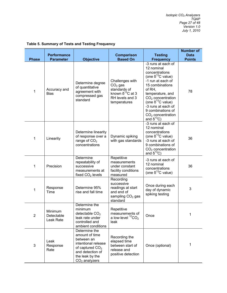*Isotopic CO2 Analyzers TQAP Page 27 of 48 Version 1.0 July 1, 2010*

|                | <b>Performance</b>                 |                                                                                                                                                               | <b>Comparison</b>                                                                                             | <b>Testing</b>                                                                                                                                                                                                                                                                                          | <b>Number of</b><br><b>Data</b> |
|----------------|------------------------------------|---------------------------------------------------------------------------------------------------------------------------------------------------------------|---------------------------------------------------------------------------------------------------------------|---------------------------------------------------------------------------------------------------------------------------------------------------------------------------------------------------------------------------------------------------------------------------------------------------------|---------------------------------|
| <b>Phase</b>   | <b>Parameter</b>                   | <b>Objective</b>                                                                                                                                              | <b>Based On</b>                                                                                               | <b>Frequency</b>                                                                                                                                                                                                                                                                                        | <b>Points</b>                   |
| 1              | Accuracy and<br><b>Bias</b>        | Determine degree<br>of quantitative<br>agreement with<br>compressed gas<br>standard                                                                           | Challenges with<br>$CO2$ gas<br>standards of<br>known $\delta^{13}$ C at 3<br>RH levels and 3<br>temperatures | -3 runs at each of<br>12 nominal<br>concentrations<br>(one $\delta^{13}$ C value)<br>-1 run at each of<br>15 combinations<br>of RH,<br>temperature, and<br>$CO2$ concentration<br>(one $\delta^{13}$ C value)<br>-3 runs at each of<br>9 combinations of<br>$CO2$ concentration<br>and $\delta^{13}$ C) | 78                              |
| 1              | Linearity                          | Determine linearity<br>of response over a<br>range of $CO2$<br>concentrations                                                                                 | Dynamic spiking<br>with gas standards                                                                         | -3 runs at each of<br>12 nominal<br>concentrations<br>(one $\delta^{13}$ C value)<br>-3 runs at each of<br>9 combinations of<br>$CO2$ concentration<br>and $\delta^{13}$ C)                                                                                                                             | 36                              |
| 1              | Precision                          | Determine<br>repeatability of<br>successive<br>measurements at<br>fixed $CO2$ levels                                                                          | Repetitive<br>measurements<br>under constant<br>facility conditions<br>measured                               | -3 runs at each of<br>12 nominal<br>concentrations<br>(one $\delta^{13}$ C value)                                                                                                                                                                                                                       | 36                              |
| 1              | Response<br>Time                   | Determine 95%<br>rise and fall time                                                                                                                           | Recording<br>successive<br>readings at start<br>and end of<br>sampling CO <sub>2</sub> gas<br>standard        | Once during each<br>day of dynamic<br>spiking testing                                                                                                                                                                                                                                                   | 3                               |
| $\overline{c}$ | Minimum<br>Detectable<br>Leak Rate | Determine the<br>minimum<br>detectable $CO2$<br>leak rate under<br>controlled and<br>ambient conditions                                                       | Repetitive<br>measurements of<br>a low-level ${}^{12}CO_2$<br>leak                                            | Once                                                                                                                                                                                                                                                                                                    | 1                               |
| 3              | Leak<br>Response<br>Rate           | Determine the<br>amount of time<br>between an<br>intentional release<br>of captured CO <sub>2</sub><br>and detection of<br>the leak by the<br>$CO2$ analyzers | Recording the<br>elapsed time<br>between start of<br>release and<br>positive detection                        | Once (optional)                                                                                                                                                                                                                                                                                         | 1                               |

# <span id="page-28-0"></span>**Table 5. Summary of Tests and Testing Frequency**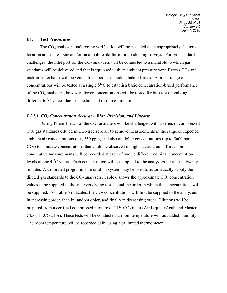#### **B1.1 Test Procedures**

The  $CO<sub>2</sub>$  analyzers undergoing verification will be installed at an appropriately sheltered location at each test site and/or on a mobile platform for conducting surveys. For gas standard challenges, the inlet port for the  $CO<sub>2</sub>$  analyzers will be connected to a manifold to which gas standards will be delivered and that is equipped with an ambient pressure vent. Excess  $CO<sub>2</sub>$  and instrument exhaust will be vented to a hood or outside inhabited areas. A broad range of concentrations will be tested at a single  $\delta^{13}$ C to establish basic concentration-based performance of the  $CO<sub>2</sub>$  analyzers; however, fewer concentrations will be tested for bias tests involving different  $\delta^{13}$ C values due to schedule and resource limitations.

#### *B1.1.1 CO2 Concentration Accuracy, Bias, Precision, and Linearity*

During Phase 1, each of the  $CO<sub>2</sub>$  analyzers will be challenged with a series of compressed  $CO<sub>2</sub>$  gas standards diluted in  $CO<sub>2</sub>$ -free zero air to achieve measurements in the range of expected ambient air concentrations (i.e., 350 ppm) and also at higher concentrations (up to 5000 ppm  $CO<sub>2</sub>$ ) to simulate concentrations that could be observed in high hazard areas. Three nonconsecutive measurements will be recorded at each of twelve different nominal concentration levels at one  $\delta^{13}$ C value. Each concentration will be supplied to the analyzers for at least twenty minutes. A calibrated programmable dilution system may be used to automatically supply the diluted gas standards to the  $CO<sub>2</sub>$  analyzers. Table 6 shows the approximate  $CO<sub>2</sub>$  concentration values to be supplied to the analyzers being tested, and the order in which the concentrations will be supplied. As Table 6 indicates, the  $CO<sub>2</sub>$  concentrations will first be supplied to the analyzers in increasing order, then in random order, and finally in decreasing order. Dilutions will be prepared from a certified compressed mixture of  $11\%$  CO<sub>2</sub> in air (Air Liquide Acublend Master Class,  $11.0\% \pm 1\%$ ). These tests will be conducted at room temperature without added humidity. The room temperature will be recorded daily using a calibrated thermometer.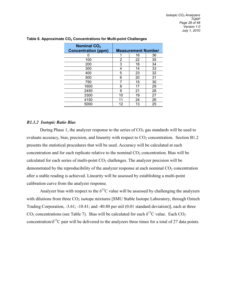| <b>Nominal CO<sub>2</sub></b><br><b>Concentration (ppm)</b> | <b>Measurement Number</b> |    |    |
|-------------------------------------------------------------|---------------------------|----|----|
|                                                             |                           | 16 | 36 |
| 100                                                         | 2                         | 22 | 35 |
| 200                                                         | 3                         | 18 | 34 |
| 300                                                         | 4                         | 14 | 33 |
| 400                                                         | 5                         | 23 | 32 |
| 500                                                         | 6                         | 20 | 31 |
| 750                                                         |                           | 15 | 30 |
| 1600                                                        | 8                         | 17 | 29 |
| 2450                                                        | 9                         | 21 | 28 |
| 3300                                                        | 10                        | 19 | 27 |
| 4150                                                        | 11                        | 24 | 26 |
| 5000                                                        | 12                        | 13 | 25 |

#### <span id="page-30-0"></span>Table 6. Approximate CO<sub>2</sub> Concentrations for Multi-point Challenges

#### *B1.1.2 Isotopic Ratio Bias*

During Phase 1, the analyzer response to the series of  $CO<sub>2</sub>$  gas standards will be used to evaluate accuracy, bias, precision, and linearity with respect to  $CO<sub>2</sub>$  concentration. Section B1.2 presents the statistical procedures that will be used. Accuracy will be calculated at each concentration and for each replicate relative to the nominal  $CO<sub>2</sub>$  concentration. Bias will be calculated for each series of multi-point  $CO<sub>2</sub>$  challenges. The analyzer precision will be demonstrated by the reproducibility of the analyzer response at each nominal  $CO<sub>2</sub>$  concentration after a stable reading is achieved. Linearity will be assessed by establishing a multi-point calibration curve from the analyzer response.

Analyzer bias with respect to the  $\delta^{13}$ C value will be assessed by challenging the analyzers with dilutions from three  $CO<sub>2</sub>$  isotope mixtures [SMU Stable Isotope Laboratory, through Oztech Trading Corporation, -3.61; -10.41; and -40.80 per mil (0.01 standard deviation)], each at three CO<sub>2</sub> concentrations (see Table 7). Bias will be calculated for each  $\delta^{13}$ C value. Each CO<sub>2</sub> concentration/ $\delta^{13}$ C pair will be delivered to the analyzers three times for a total of 27 data points.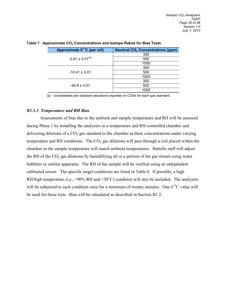| Approximate $δ^{13}C$ (per mil) | <b>Nominal CO<sub>2</sub> Concentrations (ppm)</b> |
|---------------------------------|----------------------------------------------------|
| $-3.61 \pm 0.01^{(a)}$          | 350                                                |
|                                 | 500                                                |
|                                 | 1000                                               |
| $-10.41 \pm 0.01$               | 350                                                |
|                                 | 500                                                |
|                                 | 1000                                               |
| $-40.8 \pm 0.01$                | 350                                                |
|                                 | 500                                                |
|                                 | 1000                                               |

<span id="page-31-0"></span>Table 7. Approximate CO<sub>2</sub> Concentrations and Isotope Ratios for Bias Tests

(a) Uncertainties are standard deviations reported on COAs for each gas standard.

#### *B1.1.3 Temperature and RH Bias*

Assessments of bias due to the ambient and sample temperature and RH will be assessed during Phase 1 by installing the analyzers in a temperature and RH-controlled chamber and delivering dilutions of a  $CO<sub>2</sub>$  gas standard to the chamber at three concentrations under varying temperature and RH conditions. The  $CO<sub>2</sub>$  gas dilutions will pass through a coil placed within the chamber so the sample temperature will match ambient temperatures. Battelle staff will adjust the RH of the  $CO<sub>2</sub>$  gas dilutions by humidifying all or a portion of the gas stream using water bubblers or similar apparatus. The RH of the sample will be verified using an independent calibrated sensor. The specific target conditions are listed in Table 8. If possible, a high RH/high temperature (i.e.,  $>90\%$  RH and  $>30\degree$ C) condition will also be included. The analyzers will be subjected to each condition once for a minimum of twenty minutes. One  $\delta^{13}$ C value will be used for these tests. Bias will be calculated as described in Section B1.2.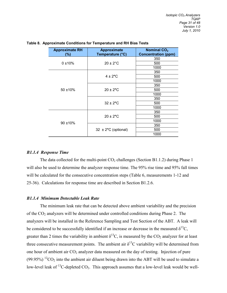| <b>Approximate RH</b><br>$(\%)$ | <b>Approximate</b><br>Temperature (°C) | Nominal CO <sub>2</sub><br><b>Concentration (ppm)</b> |
|---------------------------------|----------------------------------------|-------------------------------------------------------|
| 0±10%                           |                                        | 350                                                   |
|                                 | $20 \pm 2^{\circ}$ C                   | 500                                                   |
|                                 |                                        | 1000                                                  |
| $50 + 10%$                      |                                        | 350                                                   |
|                                 | $4 \pm 2^{\circ}$ C                    | 500                                                   |
|                                 |                                        | 1000                                                  |
|                                 | $20 \pm 2^{\circ}$ C                   | 350                                                   |
|                                 |                                        | 500                                                   |
|                                 |                                        | 1000                                                  |
|                                 |                                        | 350                                                   |
|                                 | $32 \pm 2^{\circ}$ C                   | 500                                                   |
|                                 |                                        | 1000                                                  |
| $90 + 10%$                      |                                        | 350                                                   |
|                                 | $20 \pm 2^{\circ}$ C                   | 500                                                   |
|                                 |                                        | 1000                                                  |
|                                 |                                        | 350                                                   |
|                                 | $32 \pm 2^{\circ}$ C (optional)        | 500                                                   |
|                                 |                                        | 1000                                                  |

#### <span id="page-32-0"></span>**Table 8. Approximate Conditions for Temperature and RH Bias Tests**

#### *B1.1.4 Response Time*

The data collected for the multi-point  $CO<sub>2</sub>$  challenges (Section B1.1.2) during Phase 1 will also be used to determine the analyzer response time. The 95% rise time and 95% fall times will be calculated for the consecutive concentration steps (Table 6, measurements 1-12 and 25-36). Calculations for response time are described in Section B1.2.6.

#### *B1.1.4 Minimum Detectable Leak Rate*

The minimum leak rate that can be detected above ambient variability and the precision of the CO2 analyzers will be determined under controlled conditions during Phase 2. The analyzers will be installed in the Reference Sampling and Test Section of the ABT. A leak will be considered to be successfully identified if an increase or decrease in the measured  $\delta^{13}C$ , greater than 2 times the variability in ambient  $\delta^{13}$ C, is measured by the CO<sub>2</sub> analyzer for at least three consecutive measurement points. The ambient air  $\delta^{13}$ C variability will be determined from one hour of ambient air  $CO<sub>2</sub>$  analyzer data measured on the day of testing. Injection of pure  $(99.95\%)$  <sup>12</sup>CO<sub>2</sub> into the ambient air diluent being drawn into the ABT will be used to simulate a low-level leak of <sup>13</sup>C-depleted  $CO<sub>2</sub>$ . This approach assumes that a low-level leak would be well-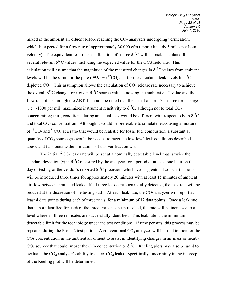mixed in the ambient air diluent before reaching the  $CO<sub>2</sub>$  analyzers undergoing verification, which is expected for a flow rate of approximately 30,000 cfm (approximately 5 miles per hour velocity). The equivalent leak rate as a function of source  $\delta^{13}$ C will be back-calculated for several relevant  $\delta^{13}$ C values, including the expected value for the GCS field site. This calculation will assume that the magnitude of the measured changes in  $\delta^{13}$ C values from ambient levels will be the same for the pure (99.95%) <sup>12</sup>CO<sub>2</sub> and for the calculated leak levels for <sup>13</sup>Cdepleted  $CO<sub>2</sub>$ . This assumption allows the calculation of  $CO<sub>2</sub>$  release rate necessary to achieve the overall  $\delta^{13}$ C change for a given  $\delta^{13}$ C source value, knowing the ambient  $\delta^{13}$ C value and the flow rate of air through the ABT. It should be noted that the use of a pure  ${}^{12}C$  source for leakage (i.e., -1000 per mil) maximizes instrument sensitivity to  $\delta^{13}C$ , although not to total CO<sub>2</sub> concentration; thus, conditions during an actual leak would be different with respect to both  $\delta^{13}C$ and total  $CO<sub>2</sub>$  concentration. Although it would be preferable to simulate leaks using a mixture of  ${}^{13}CO_2$  and  ${}^{12}CO_2$  at a ratio that would be realistic for fossil fuel combustion, a substantial quantity of  $CO<sub>2</sub>$  source gas would be needed to meet the low-level leak conditions described above and falls outside the limitations of this verification test.

The initial  ${}^{12}CO_2$  leak rate will be set at a nominally detectable level that is twice the standard deviation (*s*) in  $\delta^{13}$ C measured by the analyzer for a period of at least one hour on the day of testing or the vendor's reported  $\delta^{13}$ C precision, whichever is greater. Leaks at that rate will be introduced three times for approximately 20 minutes with at least 15 minutes of ambient air flow between simulated leaks. If all three leaks are successfully detected, the leak rate will be reduced at the discretion of the testing staff. At each leak rate, the  $CO<sub>2</sub>$  analyzer will report at least 4 data points during each of three trials, for a minimum of 12 data points. Once a leak rate that is not identified for each of the three trials has been reached, the rate will be increased to a level where all three replicates are successfully identified. This leak rate is the minimum detectable limit for the technology under the test conditions. If time permits, this process may be repeated during the Phase 2 test period. A conventional CO<sub>2</sub> analyzer will be used to monitor the  $CO<sub>2</sub>$  concentration in the ambient air diluent to assist in identifying changes in air mass or nearby  $CO_2$  sources that could impact the  $CO_2$  concentration or  $\delta^{13}C$ . Keeling plots may also be used to evaluate the  $CO_2$  analyzer's ability to detect  $CO_2$  leaks. Specifically, uncertainty in the intercept of the Keeling plot will be determined.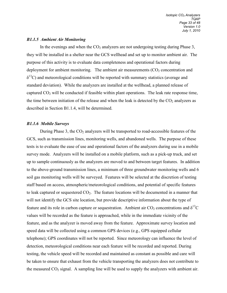#### *B1.1.5 Ambient Air Monitoring*

In the evenings and when the  $CO<sub>2</sub>$  analyzers are not undergoing testing during Phase 3, they will be installed in a shelter near the GCS wellhead and set up to monitor ambient air. The purpose of this activity is to evaluate data completeness and operational factors during deployment for ambient monitoring. The ambient air measurements  $(CO<sub>2</sub>$  concentration and  $\delta^{13}$ C) and meteorological conditions will be reported with summary statistics (average and standard deviation). While the analyzers are installed at the wellhead, a planned release of captured  $CO<sub>2</sub>$  will be conducted if feasible within plant operations. The leak rate response time, the time between initiation of the release and when the leak is detected by the  $CO<sub>2</sub>$  analyzers as described in Section B1.1.4, will be determined.

#### *B1.1.6 Mobile Surveys*

During Phase 3, the  $CO<sub>2</sub>$  analyzers will be transported to road-accessible features of the GCS, such as transmission lines, monitoring wells, and abandoned wells. The purpose of these tests is to evaluate the ease of use and operational factors of the analyzers during use in a mobile survey mode. Analyzers will be installed on a mobile platform, such as a pick-up truck, and set up to sample continuously as the analyzers are moved to and between target features. In addition to the above-ground transmission lines, a minimum of three groundwater monitoring wells and 6 soil gas monitoring wells will be surveyed. Features will be selected at the discretion of testing staff based on access, atmospheric/meteorological conditions, and potential of specific features to leak captured or sequestered  $CO<sub>2</sub>$ . The feature locations will be documented in a manner that will not identify the GCS site location, but provide descriptive information about the type of feature and its role in carbon capture or sequestration. Ambient air  $CO_2$  concentrations and  $\delta^{13}C$ values will be recorded as the feature is approached, while in the immediate vicinity of the feature, and as the analyzer is moved away from the feature. Approximate survey location and speed data will be collected using a common GPS devices (e.g., GPS equipped cellular telephone); GPS coordinates will not be reported. Since meteorology can influence the level of detection, meteorological conditions near each feature will be recorded and reported. During testing, the vehicle speed will be recorded and maintained as constant as possible and care will be taken to ensure that exhaust from the vehicle transporting the analyzers does not contribute to the measured  $CO<sub>2</sub>$  signal. A sampling line will be used to supply the analyzers with ambient air.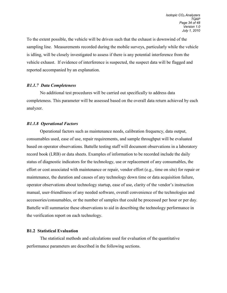To the extent possible, the vehicle will be driven such that the exhaust is downwind of the sampling line. Measurements recorded during the mobile surveys, particularly while the vehicle is idling, will be closely investigated to assess if there is any potential interference from the vehicle exhaust. If evidence of interference is suspected, the suspect data will be flagged and reported accompanied by an explanation.

#### *B1.1.7 Data Completeness*

No additional test procedures will be carried out specifically to address data completeness. This parameter will be assessed based on the overall data return achieved by each analyzer.

#### *B1.1.8 Operational Factors*

Operational factors such as maintenance needs, calibration frequency, data output, consumables used, ease of use, repair requirements, and sample throughput will be evaluated based on operator observations. Battelle testing staff will document observations in a laboratory record book (LRB) or data sheets. Examples of information to be recorded include the daily status of diagnostic indicators for the technology, use or replacement of any consumables, the effort or cost associated with maintenance or repair, vendor effort (e.g., time on site) for repair or maintenance, the duration and causes of any technology down time or data acquisition failure, operator observations about technology startup, ease of use, clarity of the vendor's instruction manual, user-friendliness of any needed software, overall convenience of the technologies and accessories/consumables, or the number of samples that could be processed per hour or per day. Battelle will summarize these observations to aid in describing the technology performance in the verification report on each technology.

#### **B1.2 Statistical Evaluation**

The statistical methods and calculations used for evaluation of the quantitative performance parameters are described in the following sections.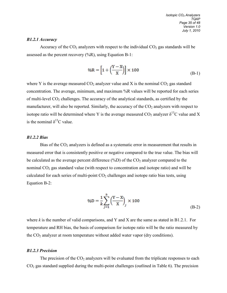#### *B1.2.1 Accuracy*

Accuracy of the  $CO_2$  analyzers with respect to the individual  $CO_2$  gas standards will be assessed as the percent recovery  $(^{9}{/}6R)$ , using Equation B-1:

$$
\%R = \left[1 + \left(\frac{Y - X}{X}\right)\right] \times 100\tag{B-1}
$$

where Y is the average measured  $CO_2$  analyzer value and X is the nominal  $CO_2$  gas standard concentration. The average, minimum, and maximum %R values will be reported for each series of multi-level CO<sub>2</sub> challenges. The accuracy of the analytical standards, as certified by the manufacturer, will also be reported. Similarly, the accuracy of the  $CO<sub>2</sub>$  analyzers with respect to isotope ratio will be determined where Y is the average measured  $CO_2$  analyzer  $\delta^{13}C$  value and X is the nominal  $\delta^{13}$ C value.

#### *B1.2.2 Bias*

Bias of the  $CO<sub>2</sub>$  analyzers is defined as a systematic error in measurement that results in measured error that is consistently positive or negative compared to the true value. The bias will be calculated as the average percent difference  $(\%D)$  of the  $CO_2$  analyzer compared to the nominal  $CO<sub>2</sub>$  gas standard value (with respect to concentration and isotope ratio) and will be calculated for each series of multi-point  $CO<sub>2</sub>$  challenges and isotope ratio bias tests, using Equation B-2:

$$
\%D = \frac{1}{k} \sum_{j=1}^{k} \left(\frac{Y - X}{X}\right)_j \times 100
$$
\n(B-2)

where  $k$  is the number of valid comparisons, and Y and X are the same as stated in B1.2.1. For temperature and RH bias, the basis of comparison for isotope ratio will be the ratio measured by the  $CO<sub>2</sub>$  analyzer at room temperature without added water vapor (dry conditions).

#### *B1.2.3 Precision*

The precision of the  $CO<sub>2</sub>$  analyzers will be evaluated from the triplicate responses to each  $CO<sub>2</sub>$  gas standard supplied during the multi-point challenges (outlined in Table 6). The precision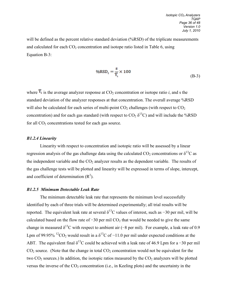will be defined as the percent relative standard deviation (%RSD) of the triplicate measurements and calculated for each  $CO<sub>2</sub>$  concentration and isotope ratio listed in Table 6, using Equation B-3:

$$
\%RSD_i = \frac{s}{\overline{Y}_i} \times 100
$$
 (B-3)

where  $\overline{Y}_i$  is the average analyzer response at  $CO_2$  concentration or isotope ratio *i*, and s the standard deviation of the analyzer responses at that concentration. The overall average %RSD will also be calculated for each series of multi-point  $CO<sub>2</sub>$  challenges (with respect to  $CO<sub>2</sub>$ concentration) and for each gas standard (with respect to  $CO_2 \delta^{13}C$ ) and will include the %RSD for all  $CO<sub>2</sub>$  concentrations tested for each gas source.

#### *B1.2.4 Linearity*

Linearity with respect to concentration and isotopic ratio will be assessed by a linear regression analysis of the gas challenge data using the calculated  $CO_2$  concentrations or  $\delta^{13}C$  as the independent variable and the  $CO<sub>2</sub>$  analyzer results as the dependent variable. The results of the gas challenge tests will be plotted and linearity will be expressed in terms of slope, intercept, and coefficient of determination  $(R<sup>2</sup>)$ .

#### *B1.2.5 Minimum Detectable Leak Rate*

The minimum detectable leak rate that represents the minimum level successfully identified by each of three trials will be determined experimentally; all trial results will be reported. The equivalent leak rate at several  $\delta^{13}$ C values of interest, such as −30 per mil, will be calculated based on the flow rate of  $-30$  per mil CO<sub>2</sub> that would be needed to give the same change in measured  $\delta^{13}$ C with respect to ambient air (−8 per mil). For example, a leak rate of 0.9 Lpm of 99.95% <sup>12</sup>CO<sub>2</sub> would result in a  $\delta^{13}$ C of −11.0 per mil under expected conditions at the ABT. The equivalent final  $\delta^{13}C$  could be achieved with a leak rate of 46.9 Lpm for a -30 per mil  $CO<sub>2</sub>$  source. (Note that the change in total  $CO<sub>2</sub>$  concentration would not be equivalent for the two  $CO_2$  sources.) In addition, the isotopic ratios measured by the  $CO_2$  analyzers will be plotted versus the inverse of the  $CO<sub>2</sub>$  concentration (i.e., in Keeling plots) and the uncertainty in the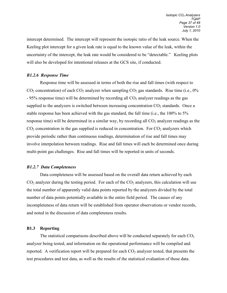intercept determined. The intercept will represent the isotopic ratio of the leak source. When the Keeling plot intercept for a given leak rate is equal to the known value of the leak, within the uncertainty of the intercept, the leak rate would be considered to be "detectable." Keeling plots will also be developed for intentional releases at the GCS site, if conducted.

#### *B1.2.6 Response Time*

Response time will be assessed in terms of both the rise and fall times (with respect to  $CO<sub>2</sub>$  concentration) of each  $CO<sub>2</sub>$  analyzer when sampling  $CO<sub>2</sub>$  gas standards. Rise time (i.e., 0%)  $-95\%$  response time) will be determined by recording all  $CO<sub>2</sub>$  analyzer readings as the gas supplied to the analyzers is switched between increasing concentration  $CO<sub>2</sub>$  standards. Once a stable response has been achieved with the gas standard, the fall time (i.e., the 100% to 5% response time) will be determined in a similar way, by recording all  $CO<sub>2</sub>$  analyzer readings as the  $CO<sub>2</sub>$  concentration in the gas supplied is reduced in concentration. For  $CO<sub>2</sub>$  analyzers which provide periodic rather than continuous readings, determination of rise and fall times may involve interpolation between readings. Rise and fall times will each be determined once during multi-point gas challenges. Rise and fall times will be reported in units of seconds.

#### *B1.2.7 Data Completeness*

Data completeness will be assessed based on the overall data return achieved by each  $CO<sub>2</sub>$  analyzer during the testing period. For each of the  $CO<sub>2</sub>$  analyzers, this calculation will use the total number of apparently valid data points reported by the analyzers divided by the total number of data points potentially available in the entire field period. The causes of any incompleteness of data return will be established from operator observations or vendor records, and noted in the discussion of data completeness results.

#### **B1.3 Reporting**

The statistical comparisons described above will be conducted separately for each  $CO<sub>2</sub>$ analyzer being tested, and information on the operational performance will be compiled and reported. A verification report will be prepared for each  $CO<sub>2</sub>$  analyzer tested, that presents the test procedures and test data, as well as the results of the statistical evaluation of those data.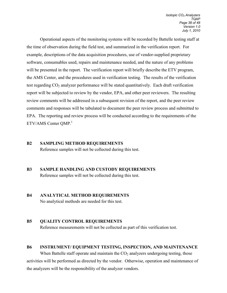Operational aspects of the monitoring systems will be recorded by Battelle testing staff at the time of observation during the field test, and summarized in the verification report. For example, descriptions of the data acquisition procedures, use of vendor-supplied proprietary software, consumables used, repairs and maintenance needed, and the nature of any problems will be presented in the report. The verification report will briefly describe the ETV program, the AMS Center, and the procedures used in verification testing. The results of the verification test regarding  $CO<sub>2</sub>$  analyzer performance will be stated quantitatively. Each draft verification report will be subjected to review by the vendor, EPA, and other peer reviewers. The resulting review comments will be addressed in a subsequent revision of the report, and the peer review comments and responses will be tabulated to document the peer review process and submitted to EPA. The reporting and review process will be conducted according to the requirements of the  $ETV/AMS$  Center OMP.<sup>1</sup>

- <span id="page-39-0"></span>**B2 SAMPLING METHOD REQUIREMENTS**  Reference samples will not be collected during this test.
- <span id="page-39-1"></span>**B3 SAMPLE HANDLING AND CUSTODY REQUIREMENTS** Reference samples will not be collected during this test.

# <span id="page-39-2"></span>**B4 ANALYTICAL METHOD REQUIREMENTS**

No analytical methods are needed for this test.

# <span id="page-39-3"></span>**B5 QUALITY CONTROL REQUIREMENTS**  Reference measurements will not be collected as part of this verification test.

# <span id="page-39-4"></span>**B6 INSTRUMENT/ EQUIPMENT TESTING, INSPECTION, AND MAINTENANCE**  When Battelle staff operate and maintain the  $CO<sub>2</sub>$  analyzers undergoing testing, those activities will be performed as directed by the vendor. Otherwise, operation and maintenance of the analyzers will be the responsibility of the analyzer vendors.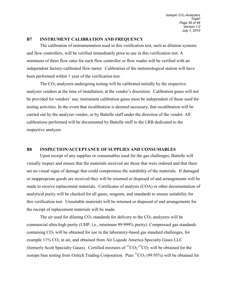#### <span id="page-40-0"></span>**B7 INSTRUMENT CALIBRATION AND FREQUENCY**

The calibration of instrumentation used in this verification test, such as dilution systems and flow controllers, will be verified immediately prior to use in this verification test. A minimum of three flow rates for each flow controller or flow reader will be verified with an independent factory-calibrated flow meter. Calibration of the meteorological station will have been performed within 1 year of the verification test.

The  $CO<sub>2</sub>$  analyzers undergoing testing will be calibrated initially by the respective analyzer vendors at the time of installation, at the vendor's discretion. Calibration gases will not be provided for vendors' use; instrument calibration gases must be independent of those used for testing activities. In the event that recalibration is deemed necessary, that recalibration will be carried out by the analyzer vendor, or by Battelle staff under the direction of the vendor. All calibrations performed will be documented by Battelle staff in the LRB dedicated to the respective analyzer.

#### <span id="page-40-1"></span>**B8 INSPECTION/ACCEPTANCE OF SUPPLIES AND CONSUMABLES**

Upon receipt of any supplies or consumables used for the gas challenges, Battelle will visually inspect and ensure that the materials received are those that were ordered and that there are no visual signs of damage that could compromise the suitability of the materials. If damaged or inappropriate goods are received they will be returned or disposed of and arrangements will be made to receive replacement materials. Certificates of analysis (COA) or other documentation of analytical purity will be checked for all gases, reagents, and standards to ensure suitability for this verification test. Unsuitable materials will be returned or disposed of and arrangements for the receipt of replacement materials will be made.

The air used for diluting  $CO_2$  standards for delivery to the  $CO_2$  analyzers will be commercial ultra-high purity (UHP, i.e., minimum 99.999% purity). Compressed gas standards containing  $CO<sub>2</sub>$  will be obtained for use in the laboratory-based gas standard challenges, for example  $11\%$  CO<sub>2</sub> in air, and obtained from Air Liquide America Specialty Gases LLC (formerly Scott Specialty Gases). Certified mixtures of  ${}^{13}CO_2/{}^{12}CO_2$  will be obtained for the isotope bias testing from Oztech Trading Corporation. Pure  ${}^{12}CO_2$  (99.95%) will be obtained for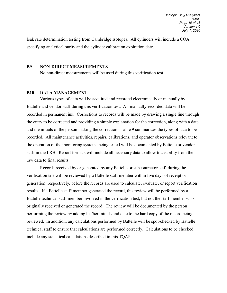leak rate determination testing from Cambridge Isotopes. All cylinders will include a COA specifying analytical purity and the cylinder calibration expiration date.

#### <span id="page-41-0"></span>**B9 NON-DIRECT MEASUREMENTS**

No non-direct measurements will be used during this verification test.

#### <span id="page-41-1"></span>**B10 DATA MANAGEMENT**

Various types of data will be acquired and recorded electronically or manually by Battelle and vendor staff during this verification test. All manually-recorded data will be recorded in permanent ink. Corrections to records will be made by drawing a single line through the entry to be corrected and providing a simple explanation for the correction, along with a date and the initials of the person making the correction. Table 9 summarizes the types of data to be recorded. All maintenance activities, repairs, calibrations, and operator observations relevant to the operation of the monitoring systems being tested will be documented by Battelle or vendor staff in the LRB. Report formats will include all necessary data to allow traceability from the raw data to final results.

Records received by or generated by any Battelle or subcontractor staff during the verification test will be reviewed by a Battelle staff member within five days of receipt or generation, respectively, before the records are used to calculate, evaluate, or report verification results. If a Battelle staff member generated the record, this review will be performed by a Battelle technical staff member involved in the verification test, but not the staff member who originally received or generated the record. The review will be documented by the person performing the review by adding his/her initials and date to the hard copy of the record being reviewed. In addition, any calculations performed by Battelle will be spot-checked by Battelle technical staff to ensure that calculations are performed correctly. Calculations to be checked include any statistical calculations described in this TQAP.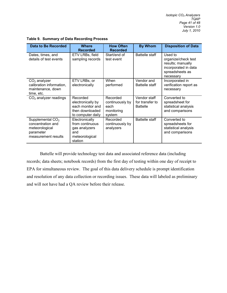| <b>Data to Be Recorded</b>                                                                    | <b>Where</b><br><b>Recorded</b>                                                           | <b>How Often</b><br><b>Recorded</b>                         | <b>By Whom</b>                                     | <b>Disposition of Data</b>                                                                                  |
|-----------------------------------------------------------------------------------------------|-------------------------------------------------------------------------------------------|-------------------------------------------------------------|----------------------------------------------------|-------------------------------------------------------------------------------------------------------------|
| Dates, times, and<br>details of test events                                                   | ETV LRBs, field<br>sampling records                                                       | Start/end of<br>test event                                  | <b>Battelle staff</b>                              | Used to<br>organize/check test<br>results; manually<br>incorporated in data<br>spreadsheets as<br>necessary |
| $CO2$ analyzer<br>calibration information,<br>maintenance, down<br>time, etc.                 | ETV LRBs, or<br>electronically                                                            | When<br>performed                                           | Vendor and<br>Battelle staff                       | Incorporated in<br>verification report as<br>necessary                                                      |
| $CO2$ analyzer readings                                                                       | Recorded<br>electronically by<br>each monitor and<br>then downloaded<br>to computer daily | Recorded<br>continuously by<br>each<br>monitoring<br>system | Vendor staff<br>for transfer to<br><b>Battelle</b> | Converted to<br>spreadsheet for<br>statistical analysis<br>and comparisons                                  |
| Supplemental $CO2$<br>concentration and<br>meteorological<br>parameter<br>measurement results | Electronically<br>from continuous<br>gas analyzers<br>and<br>meteorological<br>station    | Recorded<br>continuously by<br>analyzers                    | <b>Battelle staff</b>                              | Converted to<br>spreadsheets for<br>statistical analysis<br>and comparisons                                 |

<span id="page-42-0"></span>**Table 9. Summary of Data Recording Process** 

Battelle will provide technology test data and associated reference data (including records; data sheets; notebook records) from the first day of testing within one day of receipt to EPA for simultaneous review. The goal of this data delivery schedule is prompt identification and resolution of any data collection or recording issues. These data will labeled as preliminary and will not have had a QA review before their release.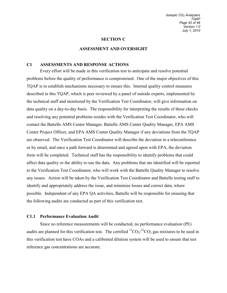#### **SECTION C**

#### **ASSESSMENT AND OVERSIGHT**

#### <span id="page-43-1"></span><span id="page-43-0"></span>**C1 ASSESSMENTS AND RESPONSE ACTIONS**

Every effort will be made in this verification test to anticipate and resolve potential problems before the quality of performance is compromised. One of the major objectives of this TQAP is to establish mechanisms necessary to ensure this. Internal quality control measures described in this TQAP, which is peer reviewed by a panel of outside experts, implemented by the technical staff and monitored by the Verification Test Coordinator, will give information on data quality on a day-to-day basis. The responsibility for interpreting the results of these checks and resolving any potential problems resides with the Verification Test Coordinator, who will contact the Battelle AMS Center Manager, Battelle AMS Center Quality Manager, EPA AMS Center Project Officer, and EPA AMS Center Quality Manager if any deviations from the TQAP are observed. The Verification Test Coordinator will describe the deviation in a teleconference or by email, and once a path forward is determined and agreed upon with EPA, the deviation form will be completed. Technical staff has the responsibility to identify problems that could affect data quality or the ability to use the data. Any problems that are identified will be reported to the Verification Test Coordinator, who will work with the Battelle Quality Manager to resolve any issues. Action will be taken by the Verification Test Coordinator and Battelle testing staff to identify and appropriately address the issue, and minimize losses and correct data, where possible. Independent of any EPA QA activities, Battelle will be responsible for ensuring that the following audits are conducted as part of this verification test.

#### **C1.1 Performance Evaluation Audit**

Since no reference measurements will be conducted, no performance evaluation (PE) audits are planned for this verification test. The certified  ${}^{13}CO_2/{}^{12}CO_2$  gas mixtures to be used in this verification test have COAs and a calibrated dilution system will be used to ensure that test reference gas concentrations are accurate.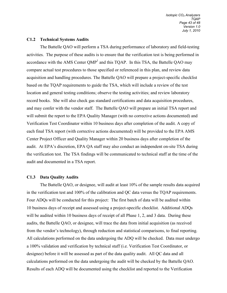#### **C1.2 Technical Systems Audits**

The Battelle QAO will perform a TSA during performance of laboratory and field-testing activities. The purpose of these audits is to ensure that the verification test is being performed in accordance with the AMS Center  $QMP<sup>1</sup>$  and this TQAP. In this TSA, the Battelle QAO may compare actual test procedures to those specified or referenced in this plan, and review data acquisition and handling procedures. The Battelle QAO will prepare a project-specific checklist based on the TQAP requirements to guide the TSA, which will include a review of the test location and general testing conditions; observe the testing activities; and review laboratory record books. She will also check gas standard certifications and data acquisition procedures, and may confer with the vendor staff. The Battelle QAO will prepare an initial TSA report and will submit the report to the EPA Quality Manager (with no corrective actions documented) and Verification Test Coordinator within 10 business days after completion of the audit. A copy of each final TSA report (with corrective actions documented) will be provided to the EPA AMS Center Project Officer and Quality Manager within 20 business days after completion of the audit. At EPA's discretion, EPA QA staff may also conduct an independent on-site TSA during the verification test. The TSA findings will be communicated to technical staff at the time of the audit and documented in a TSA report.

#### **C1.3 Data Quality Audits**

The Battelle QAO, or designee, will audit at least 10% of the sample results data acquired in the verification test and 100% of the calibration and QC data versus the TQAP requirements. Four ADQs will be conducted for this project: The first batch of data will be audited within 10 business days of receipt and assessed using a project-specific checklist. Additional ADQs will be audited within 10 business days of receipt of all Phase 1, 2, and 3 data. During these audits, the Battelle QAO, or designee, will trace the data from initial acquisition (as received from the vendor's technology), through reduction and statistical comparisons, to final reporting. All calculations performed on the data undergoing the ADQ will be checked. Data must undergo a 100% validation and verification by technical staff (i.e. Verification Test Coordinator, or designee) before it will be assessed as part of the data quality audit. All QC data and all calculations performed on the data undergoing the audit will be checked by the Battelle QAO. Results of each ADQ will be documented using the checklist and reported to the Verification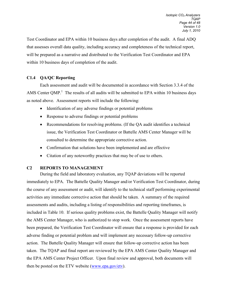Test Coordinator and EPA within 10 business days after completion of the audit. A final ADQ that assesses overall data quality, including accuracy and completeness of the technical report, will be prepared as a narrative and distributed to the Verification Test Coordinator and EPA within 10 business days of completion of the audit.

# **C1.4 QA/QC Reporting**

Each assessment and audit will be documented in accordance with Section 3.3.4 of the AMS Center QMP.<sup>1</sup> The results of all audits will be submitted to EPA within 10 business days as noted above. Assessment reports will include the following:

- Identification of any adverse findings or potential problems
- Response to adverse findings or potential problems
- Recommendations for resolving problems. (If the QA audit identifies a technical issue, the Verification Test Coordinator or Battelle AMS Center Manager will be consulted to determine the appropriate corrective action.
- Confirmation that solutions have been implemented and are effective
- Citation of any noteworthy practices that may be of use to others.

# <span id="page-45-0"></span>**C2 REPORTS TO MANAGEMENT**

During the field and laboratory evaluation, any TQAP deviations will be reported immediately to EPA. The Battelle Quality Manager and/or Verification Test Coordinator, during the course of any assessment or audit, will identify to the technical staff performing experimental activities any immediate corrective action that should be taken. A summary of the required assessments and audits, including a listing of responsibilities and reporting timeframes, is included in Table 10. If serious quality problems exist, the Battelle Quality Manager will notify the AMS Center Manager, who is authorized to stop work. Once the assessment reports have been prepared, the Verification Test Coordinator will ensure that a response is provided for each adverse finding or potential problem and will implement any necessary follow-up corrective action. The Battelle Quality Manager will ensure that follow-up corrective action has been taken. The TQAP and final report are reviewed by the EPA AMS Center Quality Manager and the EPA AMS Center Project Officer. Upon final review and approval, both documents will then be posted on the ETV website [\(www.epa.gov/etv\)](http://www.epa.gov/etv).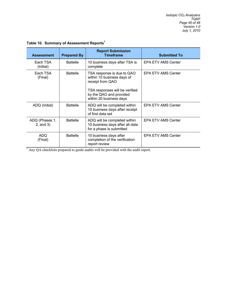| <b>Assessment</b>                | <b>Prepared By</b> | <b>Report Submission</b><br><b>Timeframe</b>                                                                                                                         | <b>Submitted To</b>       |
|----------------------------------|--------------------|----------------------------------------------------------------------------------------------------------------------------------------------------------------------|---------------------------|
| Each TSA<br>(Initial)            | <b>Battelle</b>    | 10 business days after TSA is<br>complete                                                                                                                            | <b>EPA ETV AMS Center</b> |
| Each TSA<br>(Final)              | <b>Battelle</b>    | TSA response is due to QAO<br>within 10 business days of<br>receipt from QAO<br>TSA responses will be verified<br>by the QAO and provided<br>within 20 business days | <b>EPA ETV AMS Center</b> |
| ADQ (Initial)                    | <b>Battelle</b>    | ADQ will be completed within<br>10 business days after receipt<br>of first data set                                                                                  | <b>EPA ETV AMS Center</b> |
| ADQ (Phases 1,<br>$2$ , and $3)$ | <b>Battelle</b>    | ADQ will be completed within<br>10 business days after all data<br>for a phase is submitted                                                                          | <b>EPA ETV AMS Center</b> |
| ADQ.<br>(Final)                  | <b>Battelle</b>    | 10 business days after<br>completion of the verification<br>report review                                                                                            | <b>EPA ETV AMS Center</b> |

# <span id="page-46-0"></span>**Table 10. Summary of Assessment Reports1**

<sup>1</sup> Any QA checklists prepared to guide audits will be provided with the audit report.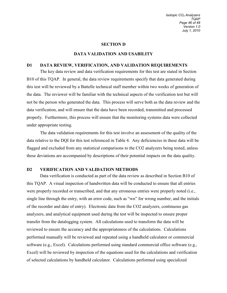#### **SECTION D**

#### **DATA VALIDATION AND USABILITY**

#### <span id="page-47-1"></span><span id="page-47-0"></span>**D1 DATA REVIEW, VERIFICATION, AND VALIDATION REQUIREMENTS**

The key data review and data verification requirements for this test are stated in Section B10 of this TQAP. In general, the data review requirements specify that data generated during this test will be reviewed by a Battelle technical staff member within two weeks of generation of the data. The reviewer will be familiar with the technical aspects of the verification test but will not be the person who generated the data. This process will serve both as the data review and the data verification, and will ensure that the data have been recorded, transmitted and processed properly. Furthermore, this process will ensure that the monitoring systems data were collected under appropriate testing.

The data validation requirements for this test involve an assessment of the quality of the data relative to the DQI for this test referenced in Table 4. Any deficiencies in these data will be flagged and excluded from any statistical comparisons to the CO2 analyzers being tested, unless these deviations are accompanied by descriptions of their potential impacts on the data quality.

#### <span id="page-47-2"></span>**D2 VERIFICATION AND VALIDATION METHODS**

Data verification is conducted as part of the data review as described in Section B10 of this TQAP. A visual inspection of handwritten data will be conducted to ensure that all entries were properly recorded or transcribed, and that any erroneous entries were properly noted (i.e., single line through the entry, with an error code, such as "wn" for wrong number, and the initials of the recorder and date of entry). Electronic data from the CO2 analyzers, continuous gas analyzers, and analytical equipment used during the test will be inspected to ensure proper transfer from the datalogging system. All calculations used to transform the data will be reviewed to ensure the accuracy and the appropriateness of the calculations. Calculations performed manually will be reviewed and repeated using a handheld calculator or commercial software (e.g., Excel). Calculations performed using standard commercial office software (e.g., Excel) will be reviewed by inspection of the equations used for the calculations and verification of selected calculations by handheld calculator. Calculations performed using specialized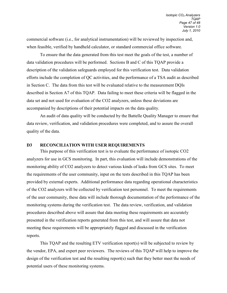commercial software (i.e., for analytical instrumentation) will be reviewed by inspection and, when feasible, verified by handheld calculator, or standard commercial office software.

To ensure that the data generated from this test meet the goals of the test, a number of data validation procedures will be performed. Sections B and C of this TQAP provide a description of the validation safeguards employed for this verification test. Data validation efforts include the completion of QC activities, and the performance of a TSA audit as described in Section C. The data from this test will be evaluated relative to the measurement DQIs described in Section A7 of this TQAP. Data failing to meet these criteria will be flagged in the data set and not used for evaluation of the CO2 analyzers, unless these deviations are accompanied by descriptions of their potential impacts on the data quality.

An audit of data quality will be conducted by the Battelle Quality Manager to ensure that data review, verification, and validation procedures were completed, and to assure the overall quality of the data.

#### <span id="page-48-0"></span>**D3 RECONCILIATION WITH USER REQUIREMENTS**

This purpose of this verification test is to evaluate the performance of isotopic CO2 analyzers for use in GCS monitoring. In part, this evaluation will include demonstrations of the monitoring ability of CO2 analyzers to detect various kinds of leaks from GCS sites. To meet the requirements of the user community, input on the tests described in this TQAP has been provided by external experts. Additional performance data regarding operational characteristics of the CO2 analyzers will be collected by verification test personnel. To meet the requirements of the user community, these data will include thorough documentation of the performance of the monitoring systems during the verification test. The data review, verification, and validation procedures described above will assure that data meeting these requirements are accurately presented in the verification reports generated from this test, and will assure that data not meeting these requirements will be appropriately flagged and discussed in the verification reports.

This TQAP and the resulting ETV verification report(s) will be subjected to review by the vendor, EPA, and expert peer reviewers. The reviews of this TQAP will help to improve the design of the verification test and the resulting report(s) such that they better meet the needs of potential users of these monitoring systems.